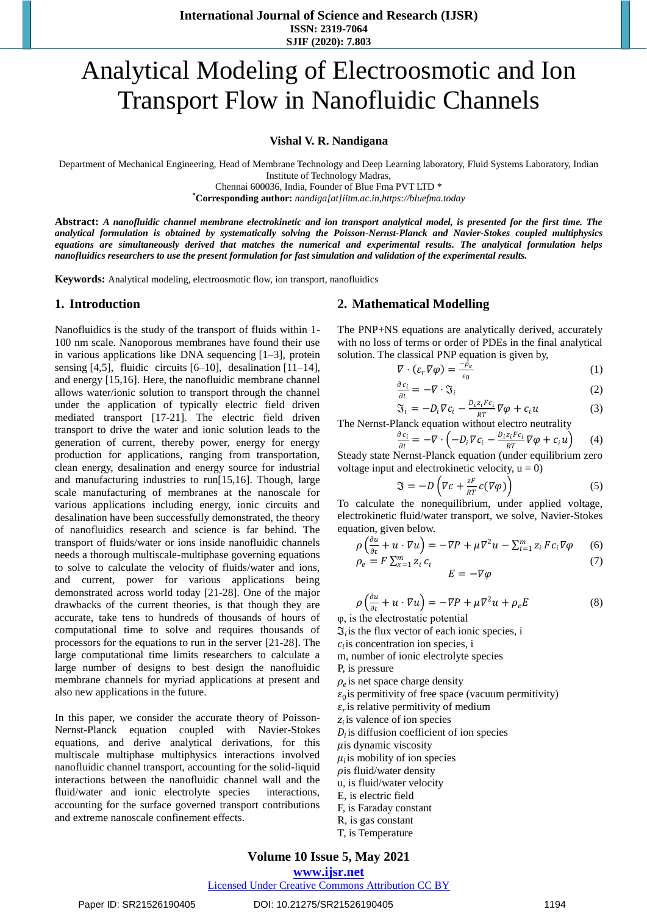**International Journal of Science and Research (IJSR) ISSN: 2319-7064 SJIF (2020): 7.803**

# Analytical Modeling of Electroosmotic and Ion Transport Flow in Nanofluidic Channels

#### **Vishal V. R. Nandigana**

Department of Mechanical Engineering, Head of Membrane Technology and Deep Learning laboratory, Fluid Systems Laboratory, Indian Institute of Technology Madras,

Chennai 600036, India, Founder of Blue Fma PVT LTD \*

**\*Corresponding author:** *[nandiga\[at\]iitm.ac.in](mailto:nandiga@iitm.ac.in)[,https://bluefma.today](https://bluefma.today/)*

**Abstract:** *A nanofluidic channel membrane electrokinetic and ion transport analytical model, is presented for the first time. The analytical formulation is obtained by systematically solving the Poisson-Nernst-Planck and Navier-Stokes coupled multiphysics equations are simultaneously derived that matches the numerical and experimental results. The analytical formulation helps nanofluidics researchers to use the present formulation for fast simulation and validation of the experimental results.* 

**Keywords:** Analytical modeling, electroosmotic flow, ion transport, nanofluidics

## **1. Introduction**

Nanofluidics is the study of the transport of fluids within 1- 100 nm scale. Nanoporous membranes have found their use in various applications like DNA sequencing [1–3], protein sensing [4,5], fluidic circuits [6–10], desalination [11–14], and energy [15,16]. Here, the nanofluidic membrane channel allows water/ionic solution to transport through the channel under the application of typically electric field driven mediated transport [17-21]. The electric field driven transport to drive the water and ionic solution leads to the generation of current, thereby power, energy for energy production for applications, ranging from transportation, clean energy, desalination and energy source for industrial and manufacturing industries to run[15,16]. Though, large scale manufacturing of membranes at the nanoscale for various applications including energy, ionic circuits and desalination have been successfully demonstrated, the theory of nanofluidics research and science is far behind. The transport of fluids/water or ions inside nanofluidic channels needs a thorough multiscale-multiphase governing equations to solve to calculate the velocity of fluids/water and ions, and current, power for various applications being demonstrated across world today [21-28]. One of the major drawbacks of the current theories, is that though they are accurate, take tens to hundreds of thousands of hours of computational time to solve and requires thousands of processors for the equations to run in the server [21-28]. The large computational time limits researchers to calculate a large number of designs to best design the nanofluidic membrane channels for myriad applications at present and also new applications in the future.

In this paper, we consider the accurate theory of Poisson-Nernst-Planck equation coupled with Navier-Stokes equations, and derive analytical derivations, for this multiscale multiphase multiphysics interactions involved nanofluidic channel transport, accounting for the solid-liquid interactions between the nanofluidic channel wall and the fluid/water and ionic electrolyte species interactions, accounting for the surface governed transport contributions and extreme nanoscale confinement effects.

## **2. Mathematical Modelling**

The PNP+NS equations are analytically derived, accurately with no loss of terms or order of PDEs in the final analytical solution. The classical PNP equation is given by,

$$
\nabla \cdot (\varepsilon_r \nabla \varphi) = \frac{-\bar{\rho}_e}{\varepsilon_0} \tag{1}
$$

$$
\frac{\partial c_i}{\partial t} = -\nabla \cdot \mathfrak{J}_i \tag{2}
$$

$$
\mathfrak{S}_i = -D_i \nabla c_i - \frac{D_i z_i F c_i}{RT} \nabla \varphi + c_i u \tag{3}
$$

The Nernst-Planck equation without electro neutrality

$$
\frac{\partial c_i}{\partial t} = -\nabla \cdot \left( -D_i \nabla c_i - \frac{D_i z_i F c_i}{RT} \nabla \varphi + c_i u \right) \tag{4}
$$

Steady state Nernst-Planck equation (under equilibrium zero voltage input and electrokinetic velocity,  $u = 0$ )

$$
\mathfrak{J} = -D\left(\nabla c + \frac{zF}{RT}c(\nabla \varphi)\right) \tag{5}
$$

To calculate the nonequilibrium, under applied voltage, electrokinetic fluid/water transport, we solve, Navier-Stokes equation, given below.

$$
\rho \left( \frac{\partial u}{\partial t} + u \cdot \nabla u \right) = -\nabla P + \mu \nabla^2 u - \sum_{i=1}^m z_i F c_i \nabla \varphi \qquad (6)
$$
  
\n
$$
\rho_e = F \sum_{i=1}^m z_i c_i \qquad (7)
$$

 $E = -\nabla \varphi$ 

$$
\rho \left( \frac{\partial u}{\partial t} + u \cdot \nabla u \right) = -\nabla P + \mu \nabla^2 u + \rho_e E \tag{8}
$$

φ, is the electrostatic potential

 $\mathfrak{I}_i$  is the flux vector of each ionic species, i

 $c<sub>i</sub>$  is concentration ion species, i

m, number of ionic electrolyte species

P, is pressure

 $\rho_e$  is net space charge density

- $\varepsilon_0$  is permitivity of free space (vacuum permitivity)
- $\varepsilon_r$  is relative permitivity of medium

 $z_i$  is valence of ion species

 $D_i$  is diffusion coefficient of ion species

 $\mu$ is dynamic viscosity

 $\mu_i$  is mobility of ion species

 $\rho$ is fluid/water density

- u, is fluid/water velocity
- E, is electric field
- F, is Faraday constant
- R, is gas constant
- T, is Temperature

# **Volume 10 Issue 5, May 2021**

# **www.ijsr.net**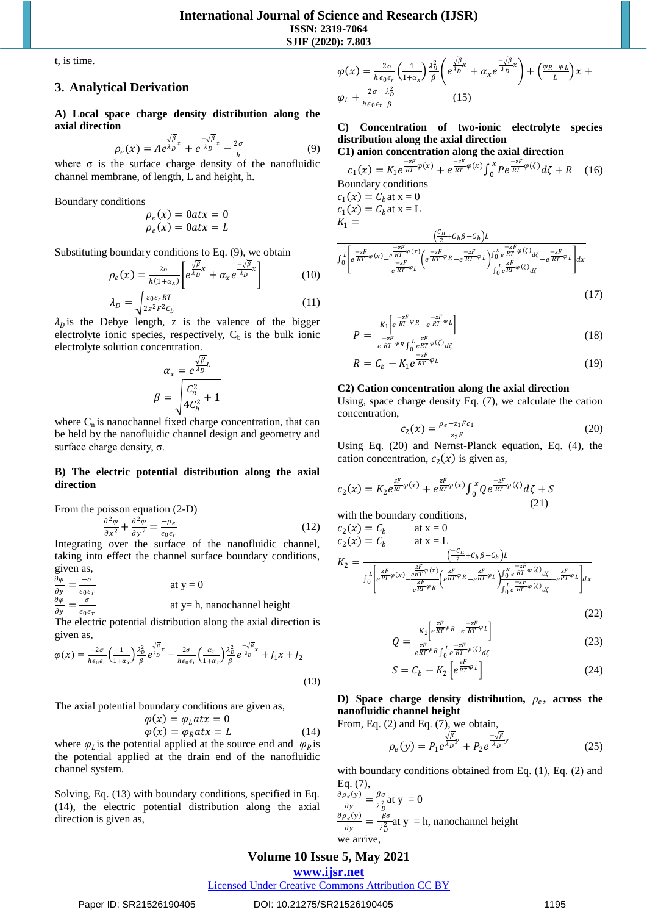t, is time.

## **3. Analytical Derivation**

**A) Local space charge density distribution along the axial direction**

$$
\rho_e(x) = A e^{\frac{\sqrt{\beta}}{\lambda_D}x} + e^{\frac{-\sqrt{\beta}}{\lambda_D}x} - \frac{2\sigma}{h}
$$
 (9)

where  $\sigma$  is the surface charge density of the nanofluidic channel membrane, of length, L and height, h.

Boundary conditions

$$
\rho_e(x) = 0 \, \text{at} \, x = 0
$$
\n
$$
\rho_e(x) = 0 \, \text{at} \, x = L
$$

Substituting boundary conditions to Eq. (9), we obtain

$$
\rho_e(x) = \frac{2\sigma}{h(1+\alpha_x)} \left[ e^{\frac{\sqrt{\beta}}{\lambda_D}x} + \alpha_x e^{\frac{-\sqrt{\beta}}{\lambda_D}x} \right]
$$
(10)

$$
\lambda_D = \sqrt{\frac{\varepsilon_0 \varepsilon_r RT}{2z^2 F^2 C_b}}
$$
\n(11)

 $\lambda_{0}$  is the Debye length, z is the valence of the bigger electrolyte ionic species, respectively,  $C<sub>b</sub>$  is the bulk ionic electrolyte solution concentration.

$$
\alpha_x = \frac{e^{\frac{\sqrt{\beta}}{\lambda_D}L}}{\beta} = \sqrt{\frac{C_n^2}{4C_b^2} + 1}
$$

where  $C_n$  is nanochannel fixed charge concentration, that can be held by the nanofluidic channel design and geometry and surface charge density, σ.

## **B) The electric potential distribution along the axial direction**

From the poisson equation (2-D)

$$
\frac{\partial^2 \varphi}{\partial x^2} + \frac{\partial^2 \varphi}{\partial y^2} = \frac{-\rho_e}{\epsilon_0 \epsilon_r} \tag{12}
$$

Integrating over the surface of the nanofluidic channel, taking into effect the channel surface boundary conditions, given as,

$$
\frac{\partial \varphi}{\partial y} = \frac{-\sigma}{\epsilon_0 \epsilon_r}
$$
 at y = 0  

$$
\frac{\partial \varphi}{\partial y} = \frac{\sigma}{\epsilon_0 \epsilon_r}
$$
 at y = h, nanochannel height

The electric potential distribution along the axial direction is given as,

$$
\varphi(x) = \frac{-2\sigma}{h\epsilon_0\epsilon_r} \left(\frac{1}{1+\alpha_x}\right) \frac{\lambda_D^2}{\beta} e^{\frac{\sqrt{\beta}}{\lambda_D}x} - \frac{2\sigma}{h\epsilon_0\epsilon_r} \left(\frac{\alpha_x}{1+\alpha_x}\right) \frac{\lambda_D^2}{\beta} e^{\frac{-\sqrt{\beta}}{\lambda_D}x} + J_1 x + J_2
$$
\n(13)

The axial potential boundary conditions are given as,

$$
\varphi(x) = \varphi_L atx = 0\n\varphi(x) = \varphi_R atx = L
$$
\n(14)

where  $\varphi_L$  is the potential applied at the source end and  $\varphi_R$  is the potential applied at the drain end of the nanofluidic channel system.

Solving, Eq. (13) with boundary conditions, specified in Eq. (14), the electric potential distribution along the axial direction is given as,

$$
\varphi(x) = \frac{-2\sigma}{h\epsilon_0\epsilon_r} \left(\frac{1}{1+\alpha_x}\right) \frac{\lambda_D^2}{\beta} \left(e^{\frac{\sqrt{\beta}}{\lambda_D}x} + \alpha_x e^{\frac{-\sqrt{\beta}}{\lambda_D}x}\right) + \left(\frac{\varphi_R - \varphi_L}{L}\right)x + \varphi_L + \frac{2\sigma}{h\epsilon_0\epsilon_r} \frac{\lambda_D^2}{\beta} \tag{15}
$$

# **C) Concentration of two-ionic electrolyte species distribution along the axial direction**

C1) anion concentration along the axial direction  

$$
e^{-zF} = \frac{-zF}{2\pi} \left( \frac{z}{2} \right) e^{-zF} = \frac{-zF}{2\pi} \left( \frac{z}{2} \right)
$$

$$
c_1(x) = K_1 e^{\frac{-zF}{RT}\varphi(x)} + e^{\frac{-zF}{RT}\varphi(x)} \int_0^x P e^{\frac{-zF}{RT}\varphi(\zeta)} d\zeta + R \quad (16)
$$
  
Bomndary conditions  

$$
c_1(x) = C_b \text{ at } x = 0
$$

$$
C_1(x) = C_b \text{ at } x = L
$$

$$
K_1 = \frac{\left(\frac{C_n}{2} + C_b \beta - C_b\right)L}{\frac{-zF}{2} + C_b \beta - C_b} \int_0^x \left[e^{\frac{-zF}{RT}\varphi(x)} - \frac{e^{\frac{-zF}{RT}\varphi(x)}}{e^{\frac{-zF}{RT}\varphi(x)}}\right] e^{\frac{-zF}{RT}\varphi(x)} \frac{1}{\int_0^x e^{\frac{zF}{RT}\varphi(\zeta)} d\zeta} - e^{\frac{-zF}{RT}\varphi} L \right] dx \quad (17)
$$

$$
P = \frac{-K_1 \left[ e^{\frac{-zF}{RT}\varphi_R} - e^{\frac{-zF}{RT}\varphi_L} \right]}{e^{\frac{-zF}{RT}\varphi_R} \int_0^L e^{\frac{zF}{RT}\varphi(\zeta)} d\zeta}
$$
(18)

$$
R = C_b - K_1 e^{\frac{-zF}{RT}\varphi_L}
$$
 (19)

### **C2) Cation concentration along the axial direction**

Using, space charge density Eq. (7), we calculate the cation concentration,

$$
c_2(x) = \frac{\rho_e - z_1 F c_1}{z_2 F} \tag{20}
$$

Using Eq. (20) and Nernst-Planck equation, Eq. (4), the cation concentration,  $c_2(x)$  is given as,

$$
c_2(x) = K_2 e^{\frac{zF}{RT}\varphi(x)} + e^{\frac{zF}{RT}\varphi(x)} \int_0^x Q e^{\frac{-zF}{RT}\varphi(\zeta)} d\zeta + S
$$
\n(21)

with the boundary conditions,

$$
c_2(x) = C_b \qquad \text{at } x = 0
$$
  
\n
$$
c_2(x) = C_b \qquad \text{at } x = L
$$
  
\n
$$
K_2 = \frac{\left(\frac{-C_n}{2} + C_b \beta - C_b\right)L}{\int_0^L \left[e^{\frac{ZF}{RT}\varphi(x)} - \frac{e^{2F}\varphi(x)}{e^{RT}\varphi_R}\left(e^{\frac{ZF}{RT}\varphi_R} - e^{\frac{2F}{RT}\varphi_L}\right)\right]\int_0^L \frac{-zF}{e^{RT}\varphi(x)}dz - e^{\frac{2F}{RT}\varphi_L}\left|dx\right|}.
$$

$$
(22)
$$

$$
Q = \frac{-K_2 \left[ e^{\frac{zF}{RT}\varphi} R - e^{\frac{-zF}{RT}\varphi} L \right]}{e^{\frac{zF}{RT}\varphi} R \int_0^L e^{\frac{-zF}{RT}\varphi} \langle \zeta \rangle_{d\zeta}}
$$
(23)

$$
S = C_b - K_2 \left[ e^{\frac{zF}{RT} \varphi_L} \right] \tag{24}
$$

D) Space charge density distribution,  $\rho_e$ , across the **nanofluidic channel height** From, Eq.

Eq. (2) and Eq. (7), we obtain,  
\n
$$
\rho_e(y) = P_1 e^{\frac{\sqrt{\beta}}{\lambda D}y} + P_2 e^{\frac{-\sqrt{\beta}}{\lambda D}y}
$$
\n(25)

with boundary conditions obtained from Eq. (1), Eq. (2) and Eq. (7),

$$
\frac{\partial \rho_e(y)}{\partial y} = \frac{\beta \sigma}{\lambda_D^2} \text{at } y = 0
$$
  

$$
\frac{\partial \rho_e(y)}{\partial y} = \frac{-\beta \sigma}{\lambda_D^2} \text{at } y = \text{h, nanochannel height}
$$
  
we arrive,

**Volume 10 Issue 5, May 2021**

# **www.ijsr.net**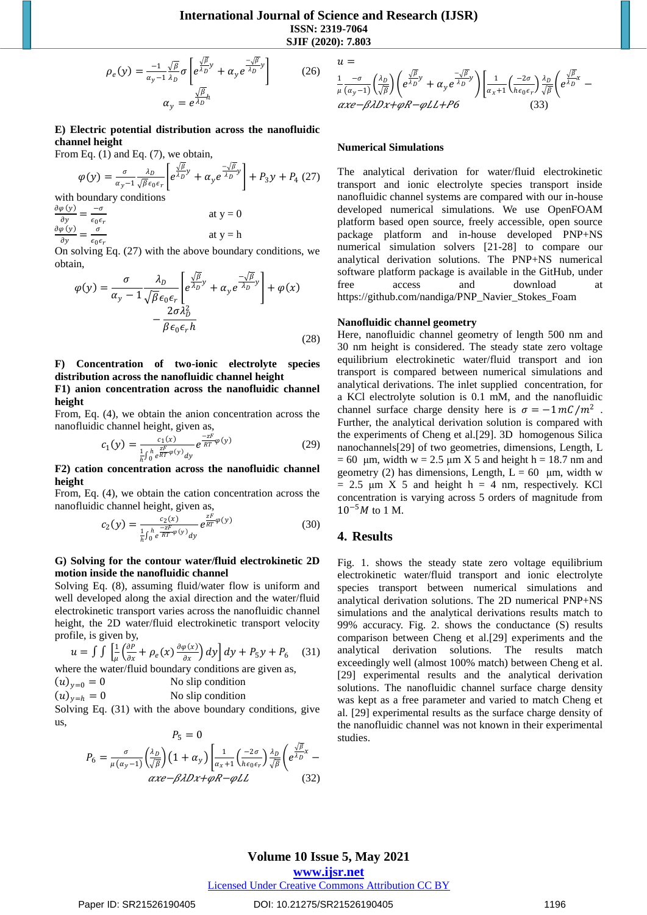**International Journal of Science and Research (IJSR) ISSN: 2319-7064 SJIF (2020): 7.803**

$$
\rho_e(y) = \frac{-1}{\alpha_y - 1} \frac{\sqrt{\beta}}{\lambda_D} \sigma \left[ e^{\frac{\sqrt{\beta}}{\lambda_D} y} + \alpha_y e^{\frac{-\sqrt{\beta}}{\lambda_D} y} \right] \tag{26}
$$
\n
$$
\alpha_y = e^{\frac{\sqrt{\beta}}{\lambda_D} h}
$$

## **E) Electric potential distribution across the nanofluidic channel height**

From Eq. (1) and Eq. (7), we obtain,

$$
\varphi(y) = \frac{\sigma}{\alpha_y - 1} \frac{\lambda_D}{\sqrt{\beta} \epsilon_0 \epsilon_r} \left[ e^{\frac{\sqrt{\beta}}{\lambda_D} y} + \alpha_y e^{\frac{-\sqrt{\beta}}{\lambda_D} y} \right] + P_3 y + P_4 \tag{27}
$$

with boundary conditions

 $\frac{\partial \varphi(y)}{\partial x} = \frac{-\sigma}{\sigma^2}$  $\partial y$  $\epsilon_0 \epsilon_r$ at  $y = 0$  $\frac{\partial \varphi(y)}{\partial y} = \frac{\sigma}{\sigma}$  $\partial y$  $\epsilon_0 \epsilon_r$ at  $y = h$ 

On solving Eq. (27) with the above boundary conditions, we obtain,

$$
\varphi(y) = \frac{\sigma}{\alpha_y - 1} \frac{\lambda_D}{\sqrt{\beta} \epsilon_0 \epsilon_r} \left[ e^{\frac{\sqrt{\beta}}{\lambda_D} y} + \alpha_y e^{\frac{-\sqrt{\beta}}{\lambda_D} y} \right] + \varphi(x) - \frac{2\sigma \lambda_D^2}{\beta \epsilon_0 \epsilon_r h}
$$
\n(28)

# **F) Concentration of two-ionic electrolyte species distribution across the nanofluidic channel height**

**F1) anion concentration across the nanofluidic channel height**

From, Eq. (4), we obtain the anion concentration across the nanofluidic channel height, given as,

$$
c_1(y) = \frac{c_1(x)}{\frac{1}{h} \int_0^h e^{\frac{zF}{RT}\varphi(y)} dy} e^{\frac{-zF}{RT}\varphi(y)}
$$
(29)

**F2) cation concentration across the nanofluidic channel height**

From, Eq. (4), we obtain the cation concentration across the nanofluidic channel height, given as,

$$
c_2(y) = \frac{c_2(x)}{\frac{1}{h} \int_0^h e^{\frac{-zF}{RT}\varphi(y)} dy} e^{\frac{zF}{RT}\varphi(y)}
$$
(30)

## **G) Solving for the contour water/fluid electrokinetic 2D motion inside the nanofluidic channel**

Solving Eq. (8), assuming fluid/water flow is uniform and well developed along the axial direction and the water/fluid electrokinetic transport varies across the nanofluidic channel height, the 2D water/fluid electrokinetic transport velocity profile, is given by,

$$
u = \int \int \left[ \frac{1}{\mu} \left( \frac{\partial P}{\partial x} + \rho_e(x) \frac{\partial \varphi(x)}{\partial x} \right) dy \right] dy + P_5 y + P_6 \quad (31)
$$

where the water/fluid boundary conditions are given as,

 $(u)_{v=0} = 0$  No slip condition  $(u)_{v=h} = 0$  No slip condition

Solving Eq. (31) with the above boundary conditions, give

$$
us,
$$

$$
P_5 = 0
$$
  
\n
$$
P_6 = \frac{\sigma}{\mu(\alpha_y - 1)} \left(\frac{\lambda_D}{\sqrt{\beta}}\right) \left(1 + \alpha_y\right) \left[\frac{1}{\alpha_x + 1} \left(\frac{-2\sigma}{h\epsilon_0 \epsilon_r}\right) \frac{\lambda_D}{\sqrt{\beta}} \left(e^{\frac{\sqrt{\beta}}{\lambda_D}x} - e^{\frac{\sqrt{\beta}}{\lambda}}\right)\right]
$$
  
\n*axe - \beta*ADx+*qR - qLL* (32)

$$
u = \frac{1}{\mu} \frac{-\sigma}{(\alpha y - 1)} \left(\frac{\lambda_D}{\sqrt{\beta}}\right) \left(e^{\frac{\sqrt{\beta}}{\lambda_D} y} + \alpha_y e^{\frac{-\sqrt{\beta}}{\lambda_D} y}\right) \left[\frac{1}{\alpha_x + 1} \left(\frac{-2\sigma}{h\epsilon_0 \epsilon_r}\right) \frac{\lambda_D}{\sqrt{\beta}} \left(e^{\frac{\sqrt{\beta}}{\lambda_D} x} - \frac{\alpha x e - \beta \lambda Dx + \varphi R - \varphi LL + P6}\right)\right]
$$
(33)

#### **Numerical Simulations**

The analytical derivation for water/fluid electrokinetic transport and ionic electrolyte species transport inside nanofluidic channel systems are compared with our in-house developed numerical simulations. We use OpenFOAM platform based open source, freely accessible, open source package platform and in-house developed PNP+NS numerical simulation solvers [21-28] to compare our analytical derivation solutions. The PNP+NS numerical software platform package is available in the GitHub, under free access and download at [https://github.com/nandiga/PNP\\_Navier\\_Stokes\\_Foam](https://github.com/nandiga/PNP_Navier_Stokes_Foam)

#### **Nanofluidic channel geometry**

Here, nanofluidic channel geometry of length 500 nm and 30 nm height is considered. The steady state zero voltage equilibrium electrokinetic water/fluid transport and ion transport is compared between numerical simulations and analytical derivations. The inlet supplied concentration, for a KCl electrolyte solution is 0.1 mM, and the nanofluidic channel surface charge density here is  $\sigma = -1 mC/m^2$ . Further, the analytical derivation solution is compared with the experiments of Cheng et al.[29]. 3D homogenous Silica nanochannels[29] of two geometries, dimensions, Length, L  $= 60 \mu m$ , width w = 2.5  $\mu$ m X 5 and height h = 18.7 nm and geometry (2) has dimensions, Length,  $L = 60$  μm, width w  $= 2.5$  um X 5 and height h  $= 4$  nm, respectively. KCl concentration is varying across 5 orders of magnitude from  $10^{-5}M$  to 1 M.

### **4. Results**

Fig. 1. shows the steady state zero voltage equilibrium electrokinetic water/fluid transport and ionic electrolyte species transport between numerical simulations and analytical derivation solutions. The 2D numerical PNP+NS simulations and the analytical derivations results match to 99% accuracy. Fig. 2. shows the conductance (S) results comparison between Cheng et al.[29] experiments and the analytical derivation solutions. The results match exceedingly well (almost 100% match) between Cheng et al. [29] experimental results and the analytical derivation solutions. The nanofluidic channel surface charge density was kept as a free parameter and varied to match Cheng et al. [29] experimental results as the surface charge density of the nanofluidic channel was not known in their experimental studies.

# **Volume 10 Issue 5, May 2021**

**www.ijsr.net**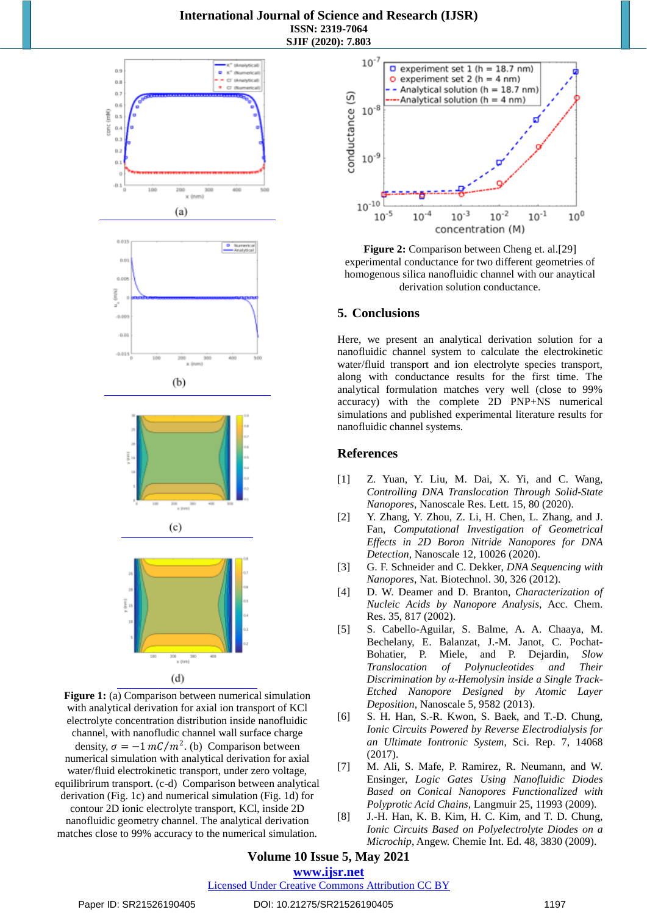# **International Journal of Science and Research (IJSR) ISSN: 2319-7064 SJIF (2020): 7.803**



**Figure 1:** (a) Comparison between numerical simulation with analytical derivation for axial ion transport of KCl electrolyte concentration distribution inside nanofluidic channel, with nanofludic channel wall surface charge density,  $\sigma = -1 mC/m^2$ . (b) Comparison between numerical simulation with analytical derivation for axial water/fluid electrokinetic transport, under zero voltage, equilibrirum transport. (c-d) Comparison between analytical derivation (Fig. 1c) and numerical simulation (Fig. 1d) for contour 2D ionic electrolyte transport, KCl, inside 2D nanofluidic geometry channel. The analytical derivation matches close to 99% accuracy to the numerical simulation.



**Figure 2:** Comparison between Cheng et. al.[29] experimental conductance for two different geometries of homogenous silica nanofluidic channel with our anaytical derivation solution conductance.

# **5. Conclusions**

Here, we present an analytical derivation solution for a nanofluidic channel system to calculate the electrokinetic water/fluid transport and ion electrolyte species transport, along with conductance results for the first time. The analytical formulation matches very well (close to 99% accuracy) with the complete 2D PNP+NS numerical simulations and published experimental literature results for nanofluidic channel systems.

# **References**

- [1] Z. Yuan, Y. Liu, M. Dai, X. Yi, and C. Wang, *Controlling DNA Translocation Through Solid-State Nanopores*, Nanoscale Res. Lett. 15, 80 (2020).
- [2] Y. Zhang, Y. Zhou, Z. Li, H. Chen, L. Zhang, and J. Fan, *Computational Investigation of Geometrical Effects in 2D Boron Nitride Nanopores for DNA Detection*, Nanoscale 12, 10026 (2020).
- [3] G. F. Schneider and C. Dekker, *DNA Sequencing with Nanopores*, Nat. Biotechnol. 30, 326 (2012).
- [4] D. W. Deamer and D. Branton, *Characterization of Nucleic Acids by Nanopore Analysis,* Acc. Chem. Res. 35, 817 (2002).
- [5] S. Cabello-Aguilar, S. Balme, A. A. Chaaya, M. Bechelany, E. Balanzat, J.-M. Janot, C. Pochat-Bohatier, P. Miele, and P. Dejardin, *Slow Translocation of Polynucleotides and Their Discrimination by α-Hemolysin inside a Single Track-Etched Nanopore Designed by Atomic Layer Deposition*, Nanoscale 5, 9582 (2013).
- [6] S. H. Han, S.-R. Kwon, S. Baek, and T.-D. Chung, *Ionic Circuits Powered by Reverse Electrodialysis for an Ultimate Iontronic System*, Sci. Rep. 7, 14068 (2017).
- [7] M. Ali, S. Mafe, P. Ramirez, R. Neumann, and W. Ensinger, *Logic Gates Using Nanofluidic Diodes Based on Conical Nanopores Functionalized with Polyprotic Acid Chains*, Langmuir 25, 11993 (2009).
- [8] J.-H. Han, K. B. Kim, H. C. Kim, and T. D. Chung, *Ionic Circuits Based on Polyelectrolyte Diodes on a Microchip*, Angew. Chemie Int. Ed. 48, 3830 (2009).

# **Volume 10 Issue 5, May 2021 www.ijsr.net**